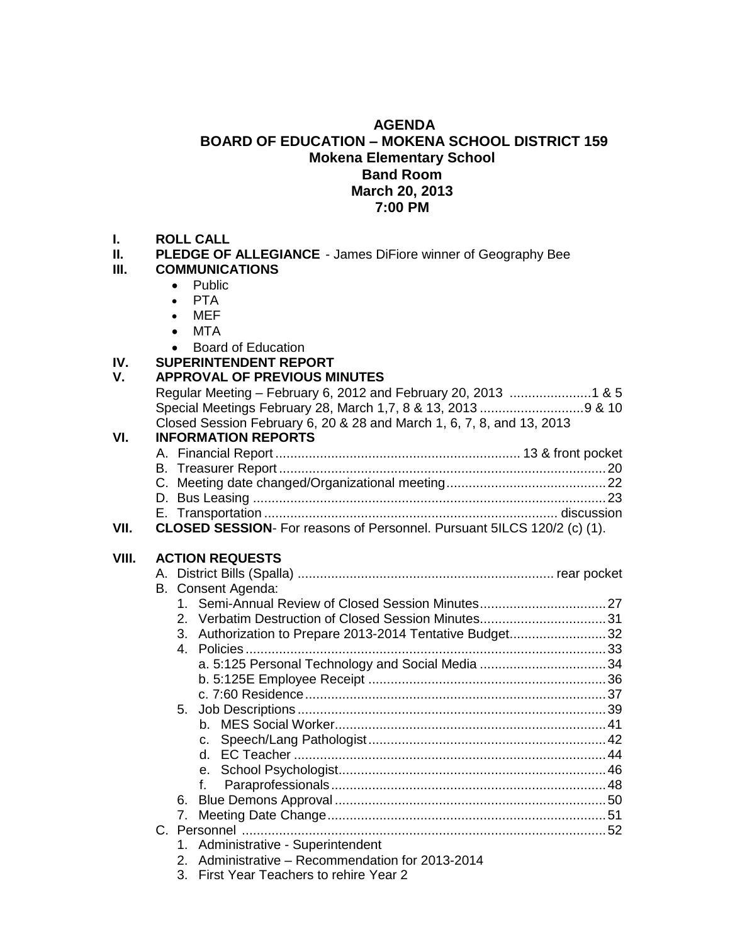## **AGENDA BOARD OF EDUCATION – MOKENA SCHOOL DISTRICT 159 Mokena Elementary School Band Room March 20, 2013 7:00 PM**

- **I. ROLL CALL**
- **II.** PLEDGE OF ALLEGIANCE James DiFiore winner of Geography Bee<br>III. COMMUNICATIONS

#### **III. COMMUNICATIONS**

- Public
- PTA
- MEF
- MTA
- Board of Education

# **IV. SUPERINTENDENT REPORT**

#### **V. APPROVAL OF PREVIOUS MINUTES**

Regular Meeting – February 6, 2012 and February 20, 2013 ......................1 & 5 Special Meetings February 28, March 1,7, 8 & 13, 2013 ............................9 & 10 Closed Session February 6, 20 & 28 and March 1, 6, 7, 8, and 13, 2013

### **VI. INFORMATION REPORTS**

| VII. | CLOSED SESSION- For reasons of Personnel. Pursuant 5ILCS 120/2 (c) (1). |  |
|------|-------------------------------------------------------------------------|--|

## **VIII. ACTION REQUESTS**

| B. Consent Agenda: |                                                       |  |
|--------------------|-------------------------------------------------------|--|
|                    | 1. Semi-Annual Review of Closed Session Minutes 27    |  |
|                    | 2. Verbatim Destruction of Closed Session Minutes31   |  |
| 3.                 | Authorization to Prepare 2013-2014 Tentative Budget32 |  |
|                    |                                                       |  |
|                    | a. 5:125 Personal Technology and Social Media 34      |  |
|                    |                                                       |  |
|                    |                                                       |  |
|                    |                                                       |  |
|                    |                                                       |  |
|                    | C <sub>1</sub>                                        |  |
|                    |                                                       |  |
|                    |                                                       |  |
|                    |                                                       |  |
| 6.                 |                                                       |  |
| 7.                 |                                                       |  |
|                    |                                                       |  |
|                    | 1. Administrative - Superintendent                    |  |
|                    | 2. Administrative - Recommendation for 2013-2014      |  |
|                    | 3. First Year Teachers to rehire Year 2               |  |